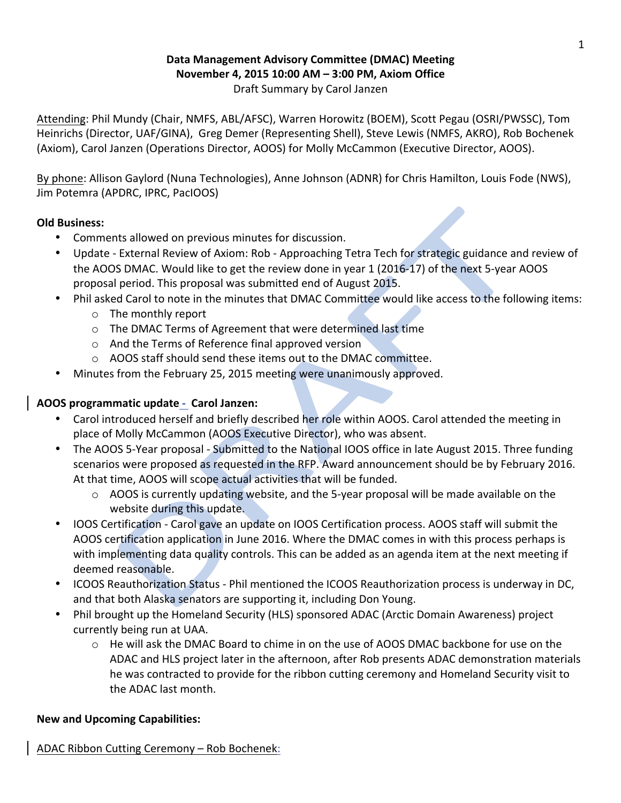#### **Data Management Advisory Committee (DMAC) Meeting November 4, 2015 10:00 AM – 3:00 PM, Axiom Office** Draft Summary by Carol Janzen

Attending: Phil Mundy (Chair, NMFS, ABL/AFSC), Warren Horowitz (BOEM), Scott Pegau (OSRI/PWSSC), Tom Heinrichs (Director, UAF/GINA), Greg Demer (Representing Shell), Steve Lewis (NMFS, AKRO), Rob Bochenek (Axiom), Carol Janzen (Operations Director, AOOS) for Molly McCammon (Executive Director, AOOS).

By phone: Allison Gaylord (Nuna Technologies), Anne Johnson (ADNR) for Chris Hamilton, Louis Fode (NWS), Jim Potemra (APDRC, IPRC, PacIOOS)

# **Old Business:**

- Comments allowed on previous minutes for discussion.
- Update External Review of Axiom: Rob Approaching Tetra Tech for strategic guidance and review of the AOOS DMAC. Would like to get the review done in year 1 (2016-17) of the next 5-year AOOS proposal period. This proposal was submitted end of August 2015.
- Phil asked Carol to note in the minutes that DMAC Committee would like access to the following items:
	- $\circ$  The monthly report
	- o The DMAC Terms of Agreement that were determined last time
	- $\circ$  And the Terms of Reference final approved version
	- o AOOS staff should send these items out to the DMAC committee.
- Minutes from the February 25, 2015 meeting were unanimously approved.

### **AOOS programmatic update - Carol Janzen:**

- Carol introduced herself and briefly described her role within AOOS. Carol attended the meeting in place of Molly McCammon (AOOS Executive Director), who was absent.
- The AOOS 5-Year proposal Submitted to the National IOOS office in late August 2015. Three funding scenarios were proposed as requested in the RFP. Award announcement should be by February 2016. At that time, AOOS will scope actual activities that will be funded.
	- $\circ$  AOOS is currently updating website, and the 5-year proposal will be made available on the website during this update.
- IOOS Certification Carol gave an update on IOOS Certification process. AOOS staff will submit the AOOS certification application in June 2016. Where the DMAC comes in with this process perhaps is with implementing data quality controls. This can be added as an agenda item at the next meeting if deemed reasonable.
- ICOOS Reauthorization Status Phil mentioned the ICOOS Reauthorization process is underway in DC, and that both Alaska senators are supporting it, including Don Young.
- Phil brought up the Homeland Security (HLS) sponsored ADAC (Arctic Domain Awareness) project currently being run at UAA.
	- $\circ$  He will ask the DMAC Board to chime in on the use of AOOS DMAC backbone for use on the ADAC and HLS project later in the afternoon, after Rob presents ADAC demonstration materials he was contracted to provide for the ribbon cutting ceremony and Homeland Security visit to the ADAC last month.

#### **New and Upcoming Capabilities:**

ADAC Ribbon Cutting Ceremony – Rob Bochenek: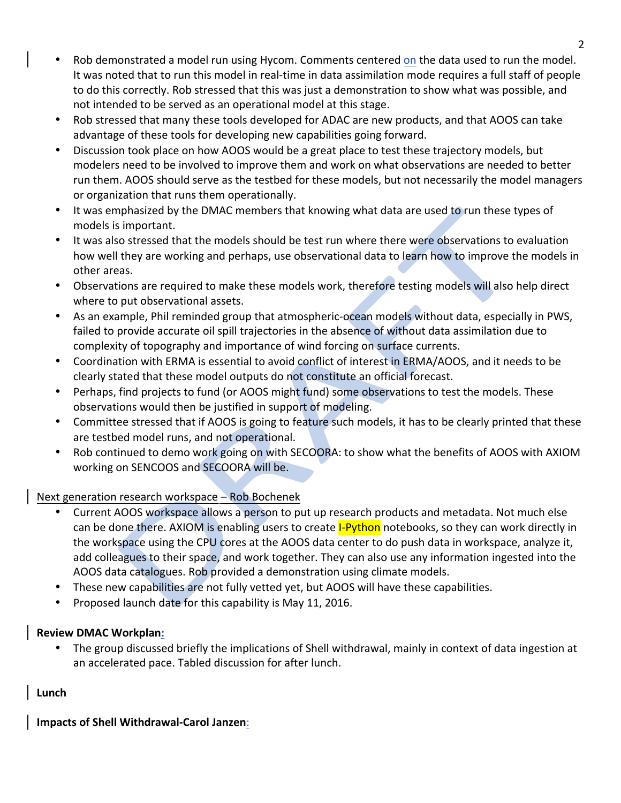- Rob demonstrated a model run using Hycom. Comments centered on the data used to run the model. It was noted that to run this model in real-time in data assimilation mode requires a full staff of people to do this correctly. Rob stressed that this was just a demonstration to show what was possible, and not intended to be served as an operational model at this stage.
- Rob stressed that many these tools developed for ADAC are new products, and that AOOS can take advantage of these tools for developing new capabilities going forward.
- Discussion took place on how AOOS would be a great place to test these trajectory models, but modelers need to be involved to improve them and work on what observations are needed to better run them. AOOS should serve as the testbed for these models, but not necessarily the model managers or organization that runs them operationally.
- It was emphasized by the DMAC members that knowing what data are used to run these types of models is important.
- It was also stressed that the models should be test run where there were observations to evaluation how well they are working and perhaps, use observational data to learn how to improve the models in other areas.
- Observations are required to make these models work, therefore testing models will also help direct where to put observational assets.
- As an example, Phil reminded group that atmospheric-ocean models without data, especially in PWS, failed to provide accurate oil spill trajectories in the absence of without data assimilation due to complexity of topography and importance of wind forcing on surface currents.
- Coordination with ERMA is essential to avoid conflict of interest in ERMA/AOOS, and it needs to be clearly stated that these model outputs do not constitute an official forecast.
- Perhaps, find projects to fund (or AOOS might fund) some observations to test the models. These observations would then be justified in support of modeling.
- Committee stressed that if AOOS is going to feature such models, it has to be clearly printed that these are testbed model runs, and not operational.
- Rob continued to demo work going on with SECOORA: to show what the benefits of AOOS with AXIOM working on SENCOOS and SECOORA will be.

# Next generation research workspace  $-$  Rob Bochenek

- Current AOOS workspace allows a person to put up research products and metadata. Not much else can be done there. AXIOM is enabling users to create **I-Python** notebooks, so they can work directly in the workspace using the CPU cores at the AOOS data center to do push data in workspace, analyze it, add colleagues to their space, and work together. They can also use any information ingested into the AOOS data catalogues. Rob provided a demonstration using climate models.
- These new capabilities are not fully vetted yet, but AOOS will have these capabilities.
- Proposed launch date for this capability is May 11, 2016.

# **Review DMAC Workplan:**

• The group discussed briefly the implications of Shell withdrawal, mainly in context of data ingestion at an accelerated pace. Tabled discussion for after lunch.

# **Lunch**

**Impacts of Shell Withdrawal-Carol Janzen**: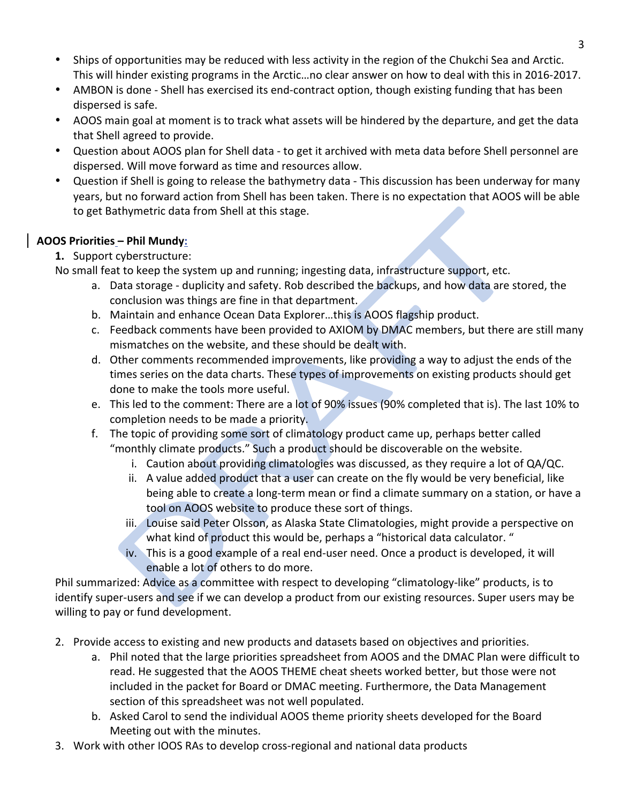- Ships of opportunities may be reduced with less activity in the region of the Chukchi Sea and Arctic. This will hinder existing programs in the Arctic...no clear answer on how to deal with this in 2016-2017.
- AMBON is done Shell has exercised its end-contract option, though existing funding that has been dispersed is safe.
- AOOS main goal at moment is to track what assets will be hindered by the departure, and get the data that Shell agreed to provide.
- Question about AOOS plan for Shell data to get it archived with meta data before Shell personnel are dispersed. Will move forward as time and resources allow.
- Question if Shell is going to release the bathymetry data This discussion has been underway for many years, but no forward action from Shell has been taken. There is no expectation that AOOS will be able to get Bathymetric data from Shell at this stage.

# **AOOS Priorities – Phil Mundy:**

**1.** Support cyberstructure:

No small feat to keep the system up and running; ingesting data, infrastructure support, etc.

- a. Data storage duplicity and safety. Rob described the backups, and how data are stored, the conclusion was things are fine in that department.
- b. Maintain and enhance Ocean Data Explorer...this is AOOS flagship product.
- c. Feedback comments have been provided to AXIOM by DMAC members, but there are still many mismatches on the website, and these should be dealt with.
- d. Other comments recommended improvements, like providing a way to adjust the ends of the times series on the data charts. These types of improvements on existing products should get done to make the tools more useful.
- e. This led to the comment: There are a lot of 90% issues (90% completed that is). The last 10% to completion needs to be made a priority.
- f. The topic of providing some sort of climatology product came up, perhaps better called "monthly climate products." Such a product should be discoverable on the website.
	- i. Caution about providing climatologies was discussed, as they require a lot of  $QA/QC$ .
	- ii. A value added product that a user can create on the fly would be very beneficial, like being able to create a long-term mean or find a climate summary on a station, or have a tool on AOOS website to produce these sort of things.
	- iii. Louise said Peter Olsson, as Alaska State Climatologies, might provide a perspective on what kind of product this would be, perhaps a "historical data calculator. "
	- iv. This is a good example of a real end-user need. Once a product is developed, it will enable a lot of others to do more.

Phil summarized: Advice as a committee with respect to developing "climatology-like" products, is to identify super-users and see if we can develop a product from our existing resources. Super users may be willing to pay or fund development.

- 2. Provide access to existing and new products and datasets based on objectives and priorities.
	- a. Phil noted that the large priorities spreadsheet from AOOS and the DMAC Plan were difficult to read. He suggested that the AOOS THEME cheat sheets worked better, but those were not included in the packet for Board or DMAC meeting. Furthermore, the Data Management section of this spreadsheet was not well populated.
	- b. Asked Carol to send the individual AOOS theme priority sheets developed for the Board Meeting out with the minutes.
- 3. Work with other IOOS RAs to develop cross-regional and national data products